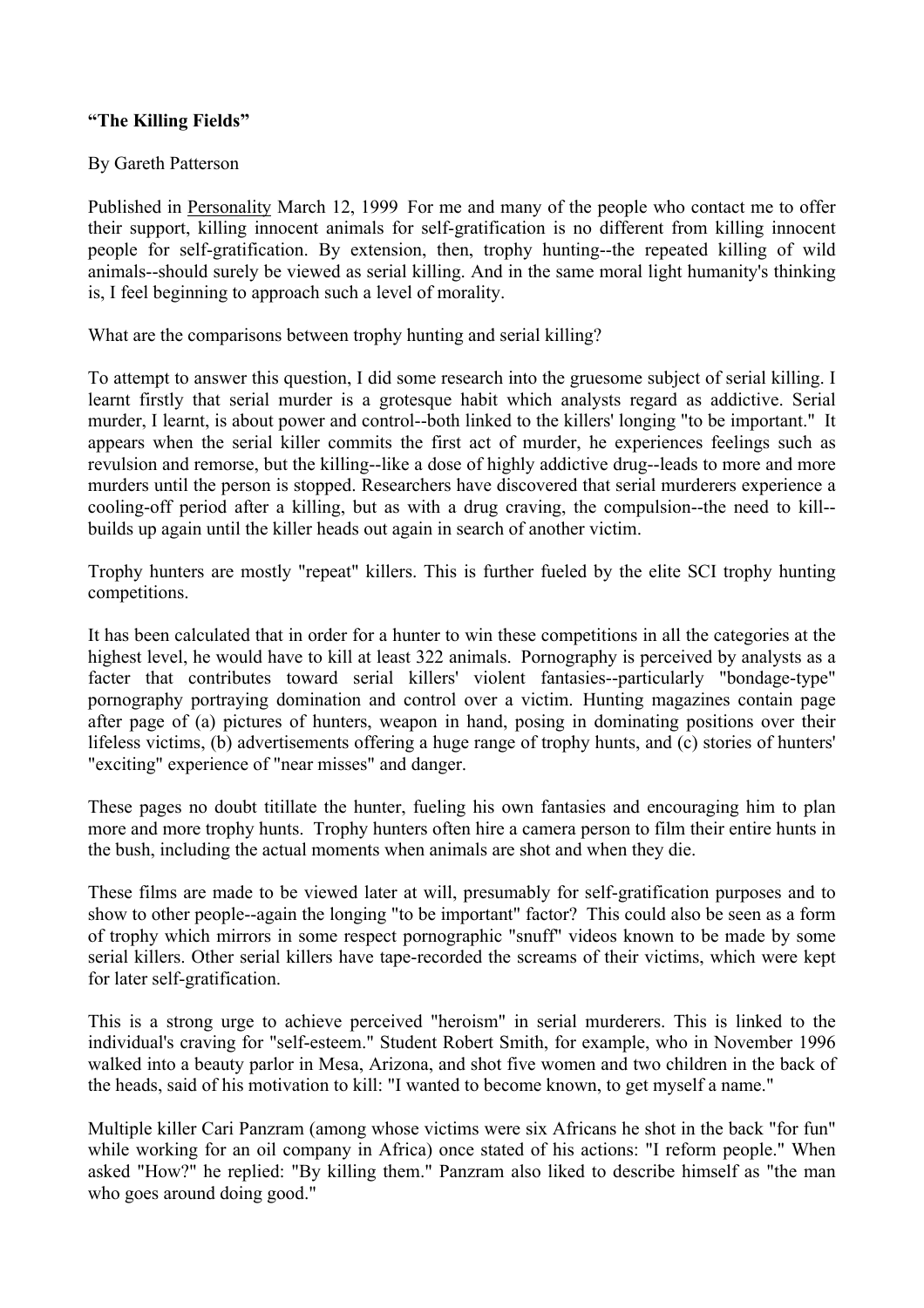## **"The Killing Fields"**

## By Gareth Patterson

Published in Personality March 12, 1999 For me and many of the people who contact me to offer their support, killing innocent animals for self-gratification is no different from killing innocent people for self-gratification. By extension, then, trophy hunting--the repeated killing of wild animals--should surely be viewed as serial killing. And in the same moral light humanity's thinking is, I feel beginning to approach such a level of morality.

What are the comparisons between trophy hunting and serial killing?

To attempt to answer this question, I did some research into the gruesome subject of serial killing. I learnt firstly that serial murder is a grotesque habit which analysts regard as addictive. Serial murder, I learnt, is about power and control--both linked to the killers' longing "to be important." It appears when the serial killer commits the first act of murder, he experiences feelings such as revulsion and remorse, but the killing--like a dose of highly addictive drug--leads to more and more murders until the person is stopped. Researchers have discovered that serial murderers experience a cooling-off period after a killing, but as with a drug craving, the compulsion--the need to kill- builds up again until the killer heads out again in search of another victim.

Trophy hunters are mostly "repeat" killers. This is further fueled by the elite SCI trophy hunting competitions.

It has been calculated that in order for a hunter to win these competitions in all the categories at the highest level, he would have to kill at least 322 animals. Pornography is perceived by analysts as a facter that contributes toward serial killers' violent fantasies--particularly "bondage-type" pornography portraying domination and control over a victim. Hunting magazines contain page after page of (a) pictures of hunters, weapon in hand, posing in dominating positions over their lifeless victims, (b) advertisements offering a huge range of trophy hunts, and (c) stories of hunters' "exciting" experience of "near misses" and danger.

These pages no doubt titillate the hunter, fueling his own fantasies and encouraging him to plan more and more trophy hunts. Trophy hunters often hire a camera person to film their entire hunts in the bush, including the actual moments when animals are shot and when they die.

These films are made to be viewed later at will, presumably for self-gratification purposes and to show to other people--again the longing "to be important" factor? This could also be seen as a form of trophy which mirrors in some respect pornographic "snuff" videos known to be made by some serial killers. Other serial killers have tape-recorded the screams of their victims, which were kept for later self-gratification.

This is a strong urge to achieve perceived "heroism" in serial murderers. This is linked to the individual's craving for "self-esteem." Student Robert Smith, for example, who in November 1996 walked into a beauty parlor in Mesa, Arizona, and shot five women and two children in the back of the heads, said of his motivation to kill: "I wanted to become known, to get myself a name."

Multiple killer Cari Panzram (among whose victims were six Africans he shot in the back "for fun" while working for an oil company in Africa) once stated of his actions: "I reform people." When asked "How?" he replied: "By killing them." Panzram also liked to describe himself as "the man who goes around doing good."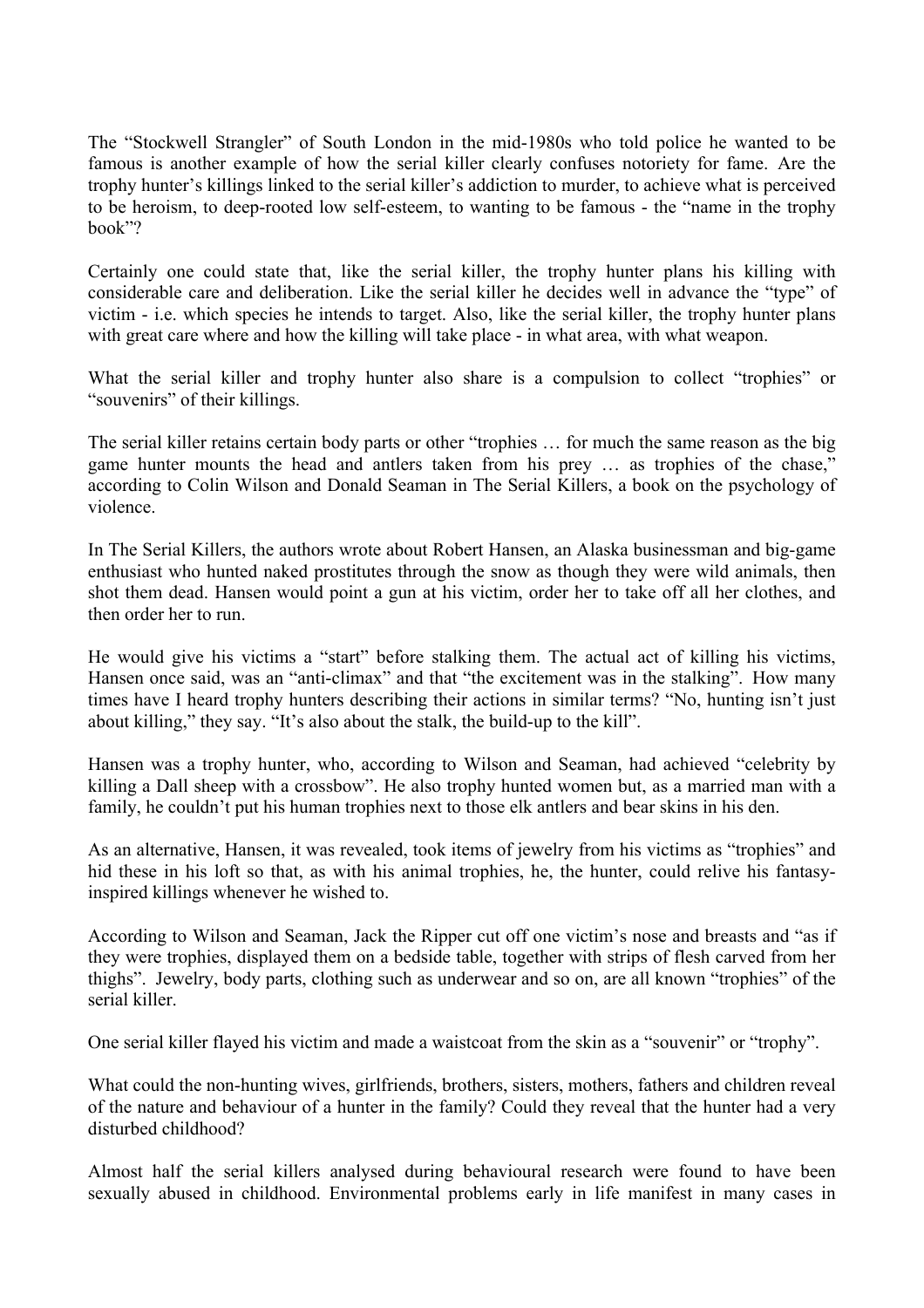The "Stockwell Strangler" of South London in the mid-1980s who told police he wanted to be famous is another example of how the serial killer clearly confuses notoriety for fame. Are the trophy hunter's killings linked to the serial killer's addiction to murder, to achieve what is perceived to be heroism, to deep-rooted low self-esteem, to wanting to be famous - the "name in the trophy book"?

Certainly one could state that, like the serial killer, the trophy hunter plans his killing with considerable care and deliberation. Like the serial killer he decides well in advance the "type" of victim - i.e. which species he intends to target. Also, like the serial killer, the trophy hunter plans with great care where and how the killing will take place - in what area, with what weapon.

What the serial killer and trophy hunter also share is a compulsion to collect "trophies" or "souvenirs" of their killings.

The serial killer retains certain body parts or other "trophies … for much the same reason as the big game hunter mounts the head and antlers taken from his prey … as trophies of the chase," according to Colin Wilson and Donald Seaman in The Serial Killers, a book on the psychology of violence.

In The Serial Killers, the authors wrote about Robert Hansen, an Alaska businessman and big-game enthusiast who hunted naked prostitutes through the snow as though they were wild animals, then shot them dead. Hansen would point a gun at his victim, order her to take off all her clothes, and then order her to run.

He would give his victims a "start" before stalking them. The actual act of killing his victims, Hansen once said, was an "anti-climax" and that "the excitement was in the stalking". How many times have I heard trophy hunters describing their actions in similar terms? "No, hunting isn't just about killing," they say. "It's also about the stalk, the build-up to the kill".

Hansen was a trophy hunter, who, according to Wilson and Seaman, had achieved "celebrity by killing a Dall sheep with a crossbow". He also trophy hunted women but, as a married man with a family, he couldn't put his human trophies next to those elk antlers and bear skins in his den.

As an alternative, Hansen, it was revealed, took items of jewelry from his victims as "trophies" and hid these in his loft so that, as with his animal trophies, he, the hunter, could relive his fantasyinspired killings whenever he wished to.

According to Wilson and Seaman, Jack the Ripper cut off one victim's nose and breasts and "as if they were trophies, displayed them on a bedside table, together with strips of flesh carved from her thighs". Jewelry, body parts, clothing such as underwear and so on, are all known "trophies" of the serial killer.

One serial killer flayed his victim and made a waistcoat from the skin as a "souvenir" or "trophy".

What could the non-hunting wives, girlfriends, brothers, sisters, mothers, fathers and children reveal of the nature and behaviour of a hunter in the family? Could they reveal that the hunter had a very disturbed childhood?

Almost half the serial killers analysed during behavioural research were found to have been sexually abused in childhood. Environmental problems early in life manifest in many cases in